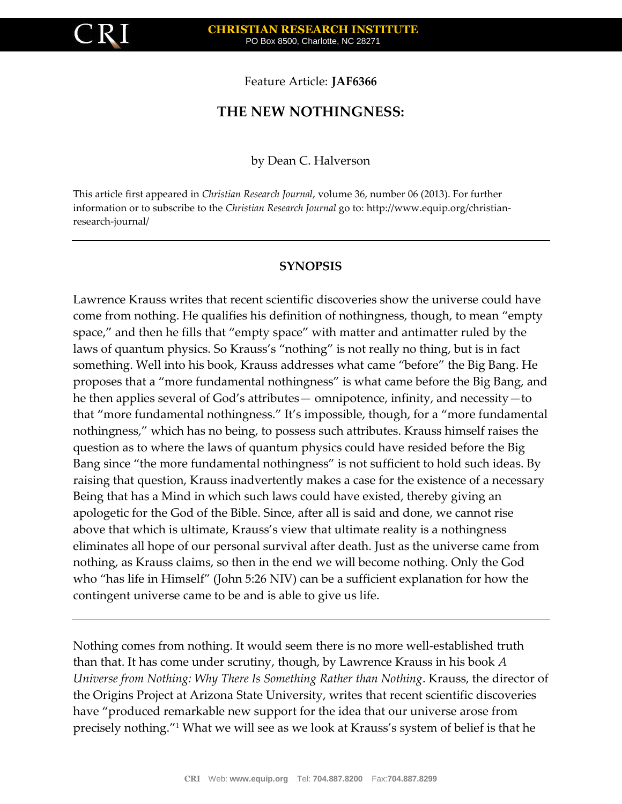

Feature Article: **JAF6366**

# **THE NEW NOTHINGNESS:**

by Dean C. Halverson

This article first appeared in *Christian Research Journal*, volume 36, number 06 (2013). For further information or to subscribe to the *Christian Research Journal* go to: http://www.equip.org/christianresearch-journal/

#### **SYNOPSIS**

Lawrence Krauss writes that recent scientific discoveries show the universe could have come from nothing. He qualifies his definition of nothingness, though, to mean "empty space," and then he fills that "empty space" with matter and antimatter ruled by the laws of quantum physics. So Krauss's "nothing" is not really no thing, but is in fact something. Well into his book, Krauss addresses what came "before" the Big Bang. He proposes that a "more fundamental nothingness" is what came before the Big Bang, and he then applies several of God's attributes— omnipotence, infinity, and necessity—to that "more fundamental nothingness." It's impossible, though, for a "more fundamental nothingness," which has no being, to possess such attributes. Krauss himself raises the question as to where the laws of quantum physics could have resided before the Big Bang since "the more fundamental nothingness" is not sufficient to hold such ideas. By raising that question, Krauss inadvertently makes a case for the existence of a necessary Being that has a Mind in which such laws could have existed, thereby giving an apologetic for the God of the Bible. Since, after all is said and done, we cannot rise above that which is ultimate, Krauss's view that ultimate reality is a nothingness eliminates all hope of our personal survival after death. Just as the universe came from nothing, as Krauss claims, so then in the end we will become nothing. Only the God who "has life in Himself" (John 5:26 NIV) can be a sufficient explanation for how the contingent universe came to be and is able to give us life.

Nothing comes from nothing. It would seem there is no more well-established truth than that. It has come under scrutiny, though, by Lawrence Krauss in his book *A Universe from Nothing: Why There Is Something Rather than Nothing*. Krauss, the director of the Origins Project at Arizona State University, writes that recent scientific discoveries have "produced remarkable new support for the idea that our universe arose from precisely nothing."<sup>1</sup> What we will see as we look at Krauss's system of belief is that he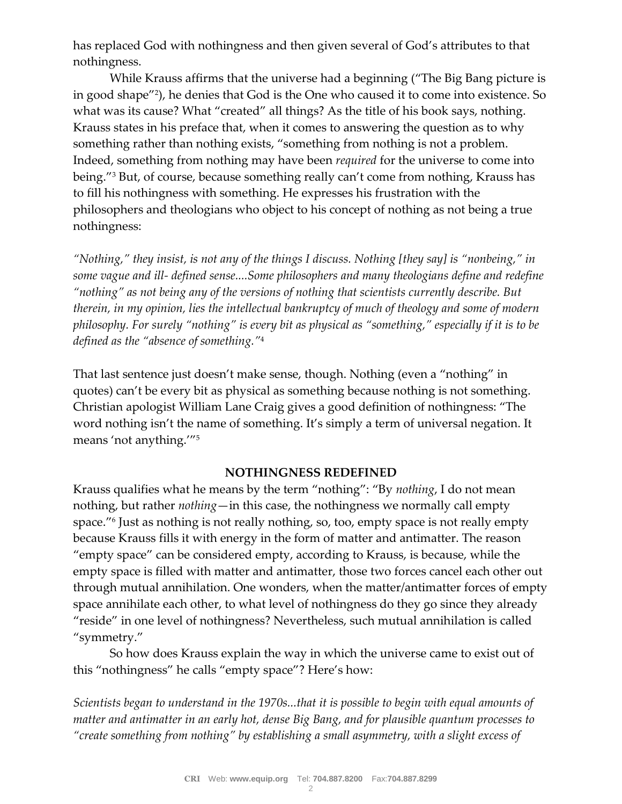has replaced God with nothingness and then given several of God's attributes to that nothingness.

While Krauss affirms that the universe had a beginning ("The Big Bang picture is in good shape"<sup>2</sup> ), he denies that God is the One who caused it to come into existence. So what was its cause? What "created" all things? As the title of his book says, nothing. Krauss states in his preface that, when it comes to answering the question as to why something rather than nothing exists, "something from nothing is not a problem. Indeed, something from nothing may have been *required* for the universe to come into being."<sup>3</sup> But, of course, because something really can't come from nothing, Krauss has to fill his nothingness with something. He expresses his frustration with the philosophers and theologians who object to his concept of nothing as not being a true nothingness:

*"Nothing," they insist, is not any of the things I discuss. Nothing [they say] is "nonbeing," in some vague and ill- defined sense....Some philosophers and many theologians define and redefine "nothing" as not being any of the versions of nothing that scientists currently describe. But therein, in my opinion, lies the intellectual bankruptcy of much of theology and some of modern philosophy. For surely "nothing" is every bit as physical as "something," especially if it is to be defined as the "absence of something."*<sup>4</sup>

That last sentence just doesn't make sense, though. Nothing (even a "nothing" in quotes) can't be every bit as physical as something because nothing is not something. Christian apologist William Lane Craig gives a good definition of nothingness: "The word nothing isn't the name of something. It's simply a term of universal negation. It means 'not anything.'"<sup>5</sup>

### **NOTHINGNESS REDEFINED**

Krauss qualifies what he means by the term "nothing": "By *nothing*, I do not mean nothing, but rather *nothing*—in this case, the nothingness we normally call empty space."<sup>6</sup> Just as nothing is not really nothing, so, too, empty space is not really empty because Krauss fills it with energy in the form of matter and antimatter. The reason "empty space" can be considered empty, according to Krauss, is because, while the empty space is filled with matter and antimatter, those two forces cancel each other out through mutual annihilation. One wonders, when the matter/antimatter forces of empty space annihilate each other, to what level of nothingness do they go since they already "reside" in one level of nothingness? Nevertheless, such mutual annihilation is called "symmetry."

So how does Krauss explain the way in which the universe came to exist out of this "nothingness" he calls "empty space"? Here's how:

*Scientists began to understand in the 1970s...that it is possible to begin with equal amounts of matter and antimatter in an early hot, dense Big Bang, and for plausible quantum processes to "create something from nothing" by establishing a small asymmetry, with a slight excess of*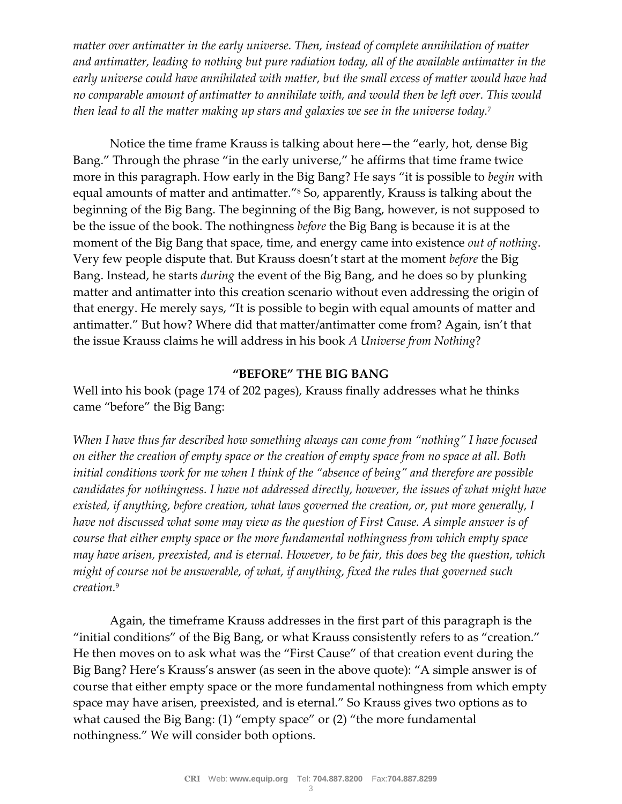*matter over antimatter in the early universe. Then, instead of complete annihilation of matter and antimatter, leading to nothing but pure radiation today, all of the available antimatter in the early universe could have annihilated with matter, but the small excess of matter would have had no comparable amount of antimatter to annihilate with, and would then be left over. This would then lead to all the matter making up stars and galaxies we see in the universe today.*<sup>7</sup>

Notice the time frame Krauss is talking about here—the "early, hot, dense Big Bang." Through the phrase "in the early universe," he affirms that time frame twice more in this paragraph. How early in the Big Bang? He says "it is possible to *begin* with equal amounts of matter and antimatter."<sup>8</sup> So, apparently, Krauss is talking about the beginning of the Big Bang. The beginning of the Big Bang, however, is not supposed to be the issue of the book. The nothingness *before* the Big Bang is because it is at the moment of the Big Bang that space, time, and energy came into existence *out of nothing*. Very few people dispute that. But Krauss doesn't start at the moment *before* the Big Bang. Instead, he starts *during* the event of the Big Bang, and he does so by plunking matter and antimatter into this creation scenario without even addressing the origin of that energy. He merely says, "It is possible to begin with equal amounts of matter and antimatter." But how? Where did that matter/antimatter come from? Again, isn't that the issue Krauss claims he will address in his book *A Universe from Nothing*?

### **"BEFORE" THE BIG BANG**

Well into his book (page 174 of 202 pages), Krauss finally addresses what he thinks came "before" the Big Bang:

*When I have thus far described how something always can come from "nothing" I have focused on either the creation of empty space or the creation of empty space from no space at all. Both initial conditions work for me when I think of the "absence of being" and therefore are possible candidates for nothingness. I have not addressed directly, however, the issues of what might have existed, if anything, before creation, what laws governed the creation, or, put more generally, I have not discussed what some may view as the question of First Cause. A simple answer is of course that either empty space or the more fundamental nothingness from which empty space may have arisen, preexisted, and is eternal. However, to be fair, this does beg the question, which might of course not be answerable, of what, if anything, fixed the rules that governed such creation.*<sup>9</sup>

Again, the timeframe Krauss addresses in the first part of this paragraph is the "initial conditions" of the Big Bang, or what Krauss consistently refers to as "creation." He then moves on to ask what was the "First Cause" of that creation event during the Big Bang? Here's Krauss's answer (as seen in the above quote): "A simple answer is of course that either empty space or the more fundamental nothingness from which empty space may have arisen, preexisted, and is eternal." So Krauss gives two options as to what caused the Big Bang: (1) "empty space" or (2) "the more fundamental nothingness." We will consider both options.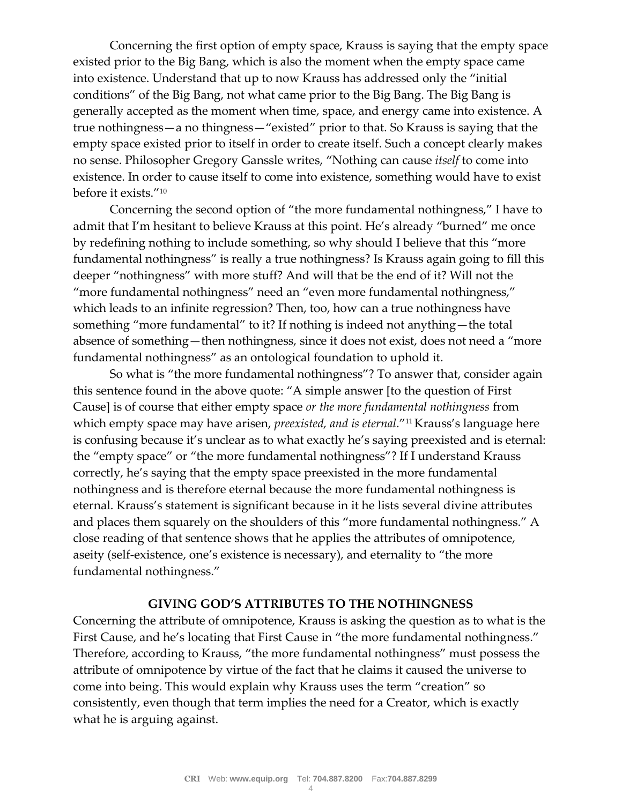Concerning the first option of empty space, Krauss is saying that the empty space existed prior to the Big Bang, which is also the moment when the empty space came into existence. Understand that up to now Krauss has addressed only the "initial conditions" of the Big Bang, not what came prior to the Big Bang. The Big Bang is generally accepted as the moment when time, space, and energy came into existence. A true nothingness—a no thingness—"existed" prior to that. So Krauss is saying that the empty space existed prior to itself in order to create itself. Such a concept clearly makes no sense. Philosopher Gregory Ganssle writes, "Nothing can cause *itself* to come into existence. In order to cause itself to come into existence, something would have to exist before it exists."<sup>10</sup>

Concerning the second option of "the more fundamental nothingness," I have to admit that I'm hesitant to believe Krauss at this point. He's already "burned" me once by redefining nothing to include something, so why should I believe that this "more fundamental nothingness" is really a true nothingness? Is Krauss again going to fill this deeper "nothingness" with more stuff? And will that be the end of it? Will not the "more fundamental nothingness" need an "even more fundamental nothingness," which leads to an infinite regression? Then, too, how can a true nothingness have something "more fundamental" to it? If nothing is indeed not anything—the total absence of something—then nothingness, since it does not exist, does not need a "more fundamental nothingness" as an ontological foundation to uphold it.

So what is "the more fundamental nothingness"? To answer that, consider again this sentence found in the above quote: "A simple answer [to the question of First Cause] is of course that either empty space *or the more fundamental nothingness* from which empty space may have arisen, *preexisted, and is eternal*."<sup>11</sup> Krauss's language here is confusing because it's unclear as to what exactly he's saying preexisted and is eternal: the "empty space" or "the more fundamental nothingness"? If I understand Krauss correctly, he's saying that the empty space preexisted in the more fundamental nothingness and is therefore eternal because the more fundamental nothingness is eternal. Krauss's statement is significant because in it he lists several divine attributes and places them squarely on the shoulders of this "more fundamental nothingness." A close reading of that sentence shows that he applies the attributes of omnipotence, aseity (self-existence, one's existence is necessary), and eternality to "the more fundamental nothingness."

#### **GIVING GOD'S ATTRIBUTES TO THE NOTHINGNESS**

Concerning the attribute of omnipotence, Krauss is asking the question as to what is the First Cause, and he's locating that First Cause in "the more fundamental nothingness." Therefore, according to Krauss, "the more fundamental nothingness" must possess the attribute of omnipotence by virtue of the fact that he claims it caused the universe to come into being. This would explain why Krauss uses the term "creation" so consistently, even though that term implies the need for a Creator, which is exactly what he is arguing against.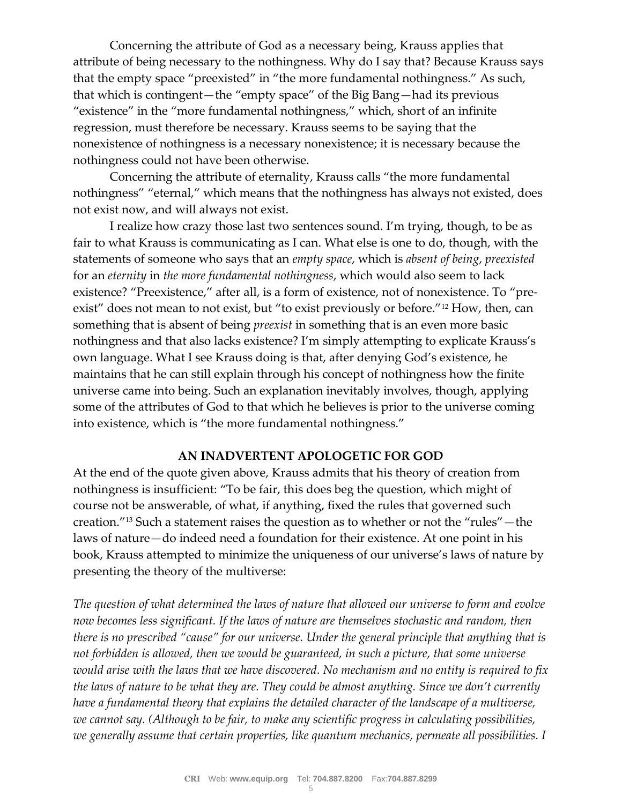Concerning the attribute of God as a necessary being, Krauss applies that attribute of being necessary to the nothingness. Why do I say that? Because Krauss says that the empty space "preexisted" in "the more fundamental nothingness." As such, that which is contingent—the "empty space" of the Big Bang—had its previous "existence" in the "more fundamental nothingness," which, short of an infinite regression, must therefore be necessary. Krauss seems to be saying that the nonexistence of nothingness is a necessary nonexistence; it is necessary because the nothingness could not have been otherwise.

Concerning the attribute of eternality, Krauss calls "the more fundamental nothingness" "eternal," which means that the nothingness has always not existed, does not exist now, and will always not exist.

I realize how crazy those last two sentences sound. I'm trying, though, to be as fair to what Krauss is communicating as I can. What else is one to do, though, with the statements of someone who says that an *empty space*, which is *absent of being*, *preexisted* for an *eternity* in *the more fundamental nothingness*, which would also seem to lack existence? "Preexistence," after all, is a form of existence, not of nonexistence. To "preexist" does not mean to not exist, but "to exist previously or before."<sup>12</sup> How, then, can something that is absent of being *preexist* in something that is an even more basic nothingness and that also lacks existence? I'm simply attempting to explicate Krauss's own language. What I see Krauss doing is that, after denying God's existence, he maintains that he can still explain through his concept of nothingness how the finite universe came into being. Such an explanation inevitably involves, though, applying some of the attributes of God to that which he believes is prior to the universe coming into existence, which is "the more fundamental nothingness."

## **AN INADVERTENT APOLOGETIC FOR GOD**

At the end of the quote given above, Krauss admits that his theory of creation from nothingness is insufficient: "To be fair, this does beg the question, which might of course not be answerable, of what, if anything, fixed the rules that governed such creation."<sup>13</sup> Such a statement raises the question as to whether or not the "rules"—the laws of nature—do indeed need a foundation for their existence. At one point in his book, Krauss attempted to minimize the uniqueness of our universe's laws of nature by presenting the theory of the multiverse:

*The question of what determined the laws of nature that allowed our universe to form and evolve now becomes less significant. If the laws of nature are themselves stochastic and random, then there is no prescribed "cause" for our universe. Under the general principle that anything that is not forbidden is allowed, then we would be guaranteed, in such a picture, that some universe would arise with the laws that we have discovered. No mechanism and no entity is required to fix the laws of nature to be what they are. They could be almost anything. Since we don't currently have a fundamental theory that explains the detailed character of the landscape of a multiverse, we cannot say. (Although to be fair, to make any scientific progress in calculating possibilities, we generally assume that certain properties, like quantum mechanics, permeate all possibilities. I*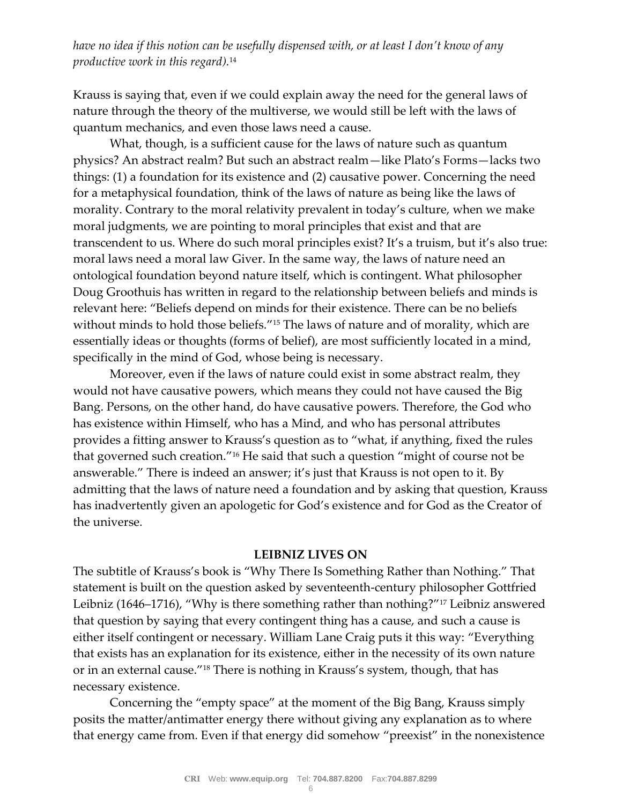*have no idea if this notion can be usefully dispensed with, or at least I don't know of any productive work in this regard).*<sup>14</sup>

Krauss is saying that, even if we could explain away the need for the general laws of nature through the theory of the multiverse, we would still be left with the laws of quantum mechanics, and even those laws need a cause.

What, though, is a sufficient cause for the laws of nature such as quantum physics? An abstract realm? But such an abstract realm—like Plato's Forms—lacks two things: (1) a foundation for its existence and (2) causative power. Concerning the need for a metaphysical foundation, think of the laws of nature as being like the laws of morality. Contrary to the moral relativity prevalent in today's culture, when we make moral judgments, we are pointing to moral principles that exist and that are transcendent to us. Where do such moral principles exist? It's a truism, but it's also true: moral laws need a moral law Giver. In the same way, the laws of nature need an ontological foundation beyond nature itself, which is contingent. What philosopher Doug Groothuis has written in regard to the relationship between beliefs and minds is relevant here: "Beliefs depend on minds for their existence. There can be no beliefs without minds to hold those beliefs."<sup>15</sup> The laws of nature and of morality, which are essentially ideas or thoughts (forms of belief), are most sufficiently located in a mind, specifically in the mind of God, whose being is necessary.

Moreover, even if the laws of nature could exist in some abstract realm, they would not have causative powers, which means they could not have caused the Big Bang. Persons, on the other hand, do have causative powers. Therefore, the God who has existence within Himself, who has a Mind, and who has personal attributes provides a fitting answer to Krauss's question as to "what, if anything, fixed the rules that governed such creation."<sup>16</sup> He said that such a question "might of course not be answerable." There is indeed an answer; it's just that Krauss is not open to it. By admitting that the laws of nature need a foundation and by asking that question, Krauss has inadvertently given an apologetic for God's existence and for God as the Creator of the universe.

#### **LEIBNIZ LIVES ON**

The subtitle of Krauss's book is "Why There Is Something Rather than Nothing." That statement is built on the question asked by seventeenth-century philosopher Gottfried Leibniz (1646–1716), "Why is there something rather than nothing?"<sup>17</sup> Leibniz answered that question by saying that every contingent thing has a cause, and such a cause is either itself contingent or necessary. William Lane Craig puts it this way: "Everything that exists has an explanation for its existence, either in the necessity of its own nature or in an external cause."<sup>18</sup> There is nothing in Krauss's system, though, that has necessary existence.

Concerning the "empty space" at the moment of the Big Bang, Krauss simply posits the matter/antimatter energy there without giving any explanation as to where that energy came from. Even if that energy did somehow "preexist" in the nonexistence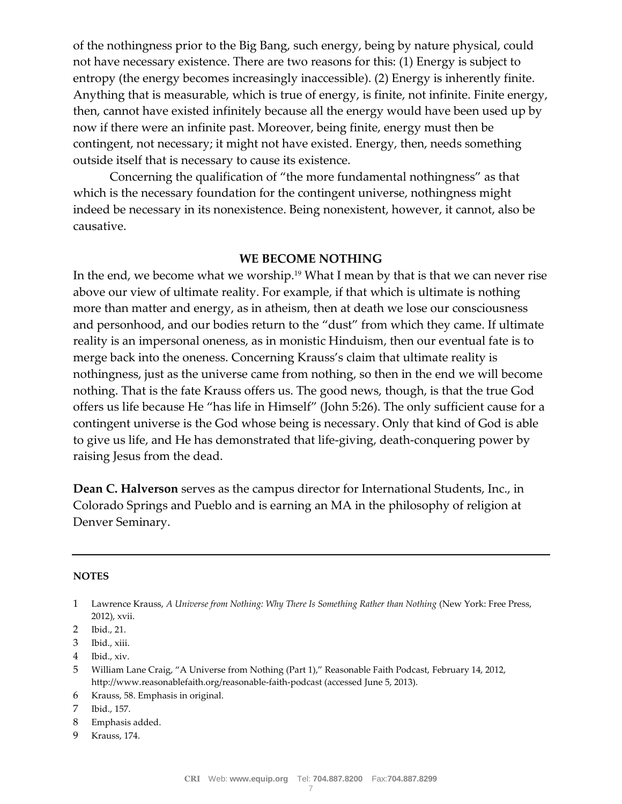of the nothingness prior to the Big Bang, such energy, being by nature physical, could not have necessary existence. There are two reasons for this: (1) Energy is subject to entropy (the energy becomes increasingly inaccessible). (2) Energy is inherently finite. Anything that is measurable, which is true of energy, is finite, not infinite. Finite energy, then, cannot have existed infinitely because all the energy would have been used up by now if there were an infinite past. Moreover, being finite, energy must then be contingent, not necessary; it might not have existed. Energy, then, needs something outside itself that is necessary to cause its existence.

Concerning the qualification of "the more fundamental nothingness" as that which is the necessary foundation for the contingent universe, nothingness might indeed be necessary in its nonexistence. Being nonexistent, however, it cannot, also be causative.

#### **WE BECOME NOTHING**

In the end, we become what we worship.<sup>19</sup> What I mean by that is that we can never rise above our view of ultimate reality. For example, if that which is ultimate is nothing more than matter and energy, as in atheism, then at death we lose our consciousness and personhood, and our bodies return to the "dust" from which they came. If ultimate reality is an impersonal oneness, as in monistic Hinduism, then our eventual fate is to merge back into the oneness. Concerning Krauss's claim that ultimate reality is nothingness, just as the universe came from nothing, so then in the end we will become nothing. That is the fate Krauss offers us. The good news, though, is that the true God offers us life because He "has life in Himself" (John 5:26). The only sufficient cause for a contingent universe is the God whose being is necessary. Only that kind of God is able to give us life, and He has demonstrated that life-giving, death-conquering power by raising Jesus from the dead.

**Dean C. Halverson** serves as the campus director for International Students, Inc., in Colorado Springs and Pueblo and is earning an MA in the philosophy of religion at Denver Seminary.

#### **NOTES**

6 Krauss, 58. Emphasis in original.

7 Ibid., 157.

- 8 Emphasis added.
- 9 Krauss, 174.

<sup>1</sup> Lawrence Krauss, *A Universe from Nothing: Why There Is Something Rather than Nothing* (New York: Free Press, 2012), xvii.

<sup>2</sup> Ibid., 21.

<sup>3</sup> Ibid., xiii.

<sup>4</sup> Ibid., xiv.

<sup>5</sup> William Lane Craig, "A Universe from Nothing (Part 1)," Reasonable Faith Podcast, February 14, 2012, http://www.reasonablefaith.org/reasonable-faith-podcast (accessed June 5, 2013).